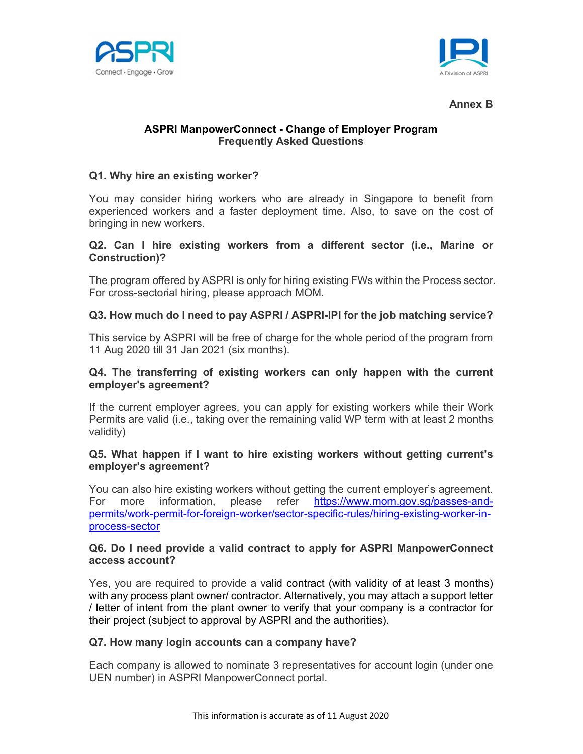



#### Annex B

# ASPRI ManpowerConnect - Change of Employer Program Frequently Asked Questions

## Q1. Why hire an existing worker?

You may consider hiring workers who are already in Singapore to benefit from experienced workers and a faster deployment time. Also, to save on the cost of bringing in new workers.

## Q2. Can I hire existing workers from a different sector (i.e., Marine or Construction)?

The program offered by ASPRI is only for hiring existing FWs within the Process sector. For cross-sectorial hiring, please approach MOM.

## Q3. How much do I need to pay ASPRI / ASPRI-IPI for the job matching service?

This service by ASPRI will be free of charge for the whole period of the program from 11 Aug 2020 till 31 Jan 2021 (six months).

## Q4. The transferring of existing workers can only happen with the current employer's agreement?

If the current employer agrees, you can apply for existing workers while their Work Permits are valid (i.e., taking over the remaining valid WP term with at least 2 months validity)

## Q5. What happen if I want to hire existing workers without getting current's employer's agreement?

You can also hire existing workers without getting the current employer's agreement. For more information, please refer https://www.mom.gov.sg/passes-andpermits/work-permit-for-foreign-worker/sector-specific-rules/hiring-existing-worker-inprocess-sector

## Q6. Do I need provide a valid contract to apply for ASPRI ManpowerConnect access account?

Yes, you are required to provide a valid contract (with validity of at least 3 months) with any process plant owner/ contractor. Alternatively, you may attach a support letter / letter of intent from the plant owner to verify that your company is a contractor for their project (subject to approval by ASPRI and the authorities).

## Q7. How many login accounts can a company have?

Each company is allowed to nominate 3 representatives for account login (under one UEN number) in ASPRI ManpowerConnect portal.